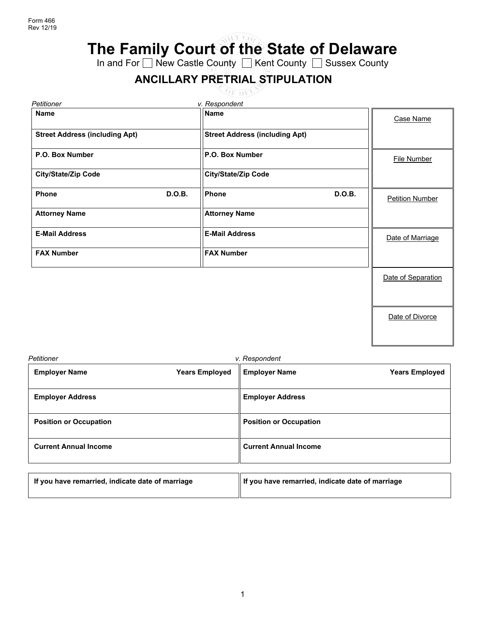**The Family Court of the State of Delaware**

In and For ⊟ New Castle County ██ Kent County ██ Sussex County

# **ANCILLARY PRETRIAL STIPULATION**

**OF DEP** 

| Petitioner                            | v. Respondent                         |               |                        |
|---------------------------------------|---------------------------------------|---------------|------------------------|
| <b>Name</b>                           | <b>Name</b>                           |               | Case Name              |
| <b>Street Address (including Apt)</b> | <b>Street Address (including Apt)</b> |               |                        |
| P.O. Box Number                       | P.O. Box Number                       |               | <b>File Number</b>     |
| <b>City/State/Zip Code</b>            | City/State/Zip Code                   |               |                        |
| <b>D.O.B.</b><br><b>Phone</b>         | Phone                                 | <b>D.O.B.</b> | <b>Petition Number</b> |
| <b>Attorney Name</b>                  | <b>Attorney Name</b>                  |               |                        |
| <b>E-Mail Address</b>                 | <b>E-Mail Address</b>                 |               | Date of Marriage       |
| <b>FAX Number</b>                     | <b>FAX Number</b>                     |               |                        |
|                                       |                                       |               | Date of Separation     |
|                                       |                                       |               |                        |
|                                       |                                       |               | Date of Divorce        |

| Petitioner                    |                       | v. Respondent                 |                       |
|-------------------------------|-----------------------|-------------------------------|-----------------------|
| <b>Employer Name</b>          | <b>Years Employed</b> | <b>Employer Name</b>          | <b>Years Employed</b> |
| <b>Employer Address</b>       |                       | <b>Employer Address</b>       |                       |
| <b>Position or Occupation</b> |                       | <b>Position or Occupation</b> |                       |
| <b>Current Annual Income</b>  |                       | <b>Current Annual Income</b>  |                       |

| If you have remarried, indicate date of marriage | If you have remarried, indicate date of marriage |
|--------------------------------------------------|--------------------------------------------------|
|                                                  |                                                  |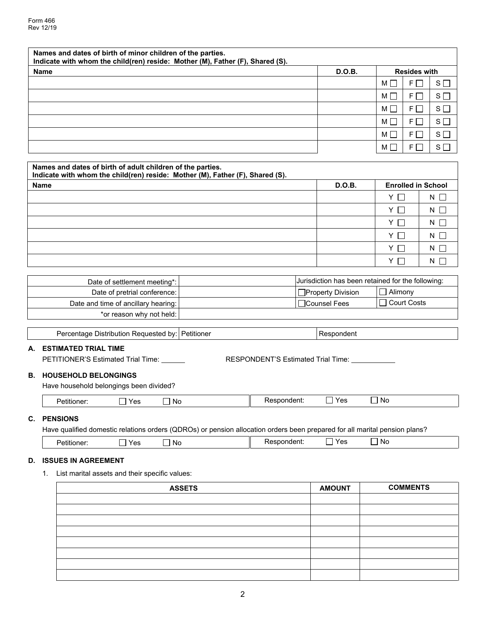| Names and dates of birth of minor children of the parties.<br>Indicate with whom the child(ren) reside: Mother (M), Father (F), Shared (S). |        |   |                     |                |
|---------------------------------------------------------------------------------------------------------------------------------------------|--------|---|---------------------|----------------|
| <b>Name</b>                                                                                                                                 | D.O.B. |   | <b>Resides with</b> |                |
|                                                                                                                                             |        | М | FI I                | $S \Box$       |
|                                                                                                                                             |        | M | $F \Box$            | $S \Box$       |
|                                                                                                                                             |        | M | FI I                | S <sub>l</sub> |
|                                                                                                                                             |        | M | $F \Gamma$          | $S \Box$       |
|                                                                                                                                             |        | м |                     | $S \Box$       |
|                                                                                                                                             |        | м | F L                 | $S \sqcap$     |

| Names and dates of birth of adult children of the parties.<br>Indicate with whom the child(ren) reside: Mother (M), Father (F), Shared (S). |        |                           |            |  |
|---------------------------------------------------------------------------------------------------------------------------------------------|--------|---------------------------|------------|--|
| <b>Name</b>                                                                                                                                 | D.O.B. | <b>Enrolled in School</b> |            |  |
|                                                                                                                                             |        | YΠ                        | $N$ $\Box$ |  |
|                                                                                                                                             |        | Y                         | $N \Box$   |  |
|                                                                                                                                             |        | $Y \square$               | $N$ $\Box$ |  |
|                                                                                                                                             |        | $Y \cap$                  | $N \Box$   |  |
|                                                                                                                                             |        | YI                        | N          |  |
|                                                                                                                                             |        | Y.                        | N          |  |

| Date of settlement meeting*:        | Jurisdiction has been retained for the following: |                |
|-------------------------------------|---------------------------------------------------|----------------|
| Date of pretrial conference: I      | Property Division                                 | $\Box$ Alimony |
| Date and time of ancillary hearing: | □Counsel Fees                                     | □ Court Costs  |
| *or reason why not held:            |                                                   |                |

Percentage Distribution Requested by: Petitioner Respondent

**A. ESTIMATED TRIAL TIME**

| PETITIONER'S Estimated Trial Time: | RESPONDENT'S Estimated Trial Time: |
|------------------------------------|------------------------------------|
|                                    |                                    |

### **B. HOUSEHOLD BELONGINGS**

Have household belongings been divided?

| V <sub>0</sub><br>--<br>ັບ | N0 | ווטסווו. | $\mathbf{v}$<br>ັ | <b>No</b> |  |
|----------------------------|----|----------|-------------------|-----------|--|
|                            |    |          |                   |           |  |

### **C. PENSIONS**

Have qualified domestic relations orders (QDROs) or pension allocation orders been prepared for all marital pension plans?

| .<br><br>eu<br>ושותו<br>-<br>ິ | .<br>.No<br>$\mathbf{v}_{\mathbf{a}}$<br> | . No<br>. .<br>$\sim$ |
|--------------------------------|-------------------------------------------|-----------------------|
|--------------------------------|-------------------------------------------|-----------------------|

## **D. ISSUES IN AGREEMENT**

1. List marital assets and their specific values:

| <b>ASSETS</b> | <b>AMOUNT</b> | <b>COMMENTS</b> |
|---------------|---------------|-----------------|
|               |               |                 |
|               |               |                 |
|               |               |                 |
|               |               |                 |
|               |               |                 |
|               |               |                 |
|               |               |                 |
|               |               |                 |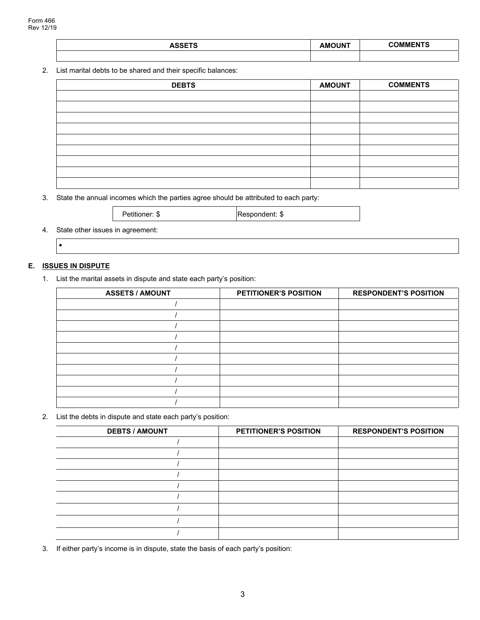| <b>ASSETS</b> | <b>AMOUNT</b> | <b>COMMENTS</b> |
|---------------|---------------|-----------------|
|               |               |                 |

#### 2. List marital debts to be shared and their specific balances:

| <b>DEBTS</b> | <b>AMOUNT</b> | <b>COMMENTS</b> |
|--------------|---------------|-----------------|
|              |               |                 |
|              |               |                 |
|              |               |                 |
|              |               |                 |
|              |               |                 |
|              |               |                 |
|              |               |                 |
|              |               |                 |
|              |               |                 |

3. State the annual incomes which the parties agree should be attributed to each party:

| Petitioner: \$ | <b>Respondent: \$</b> |
|----------------|-----------------------|
|                |                       |

4. State other issues in agreement:

•

## **E. ISSUES IN DISPUTE**

1. List the marital assets in dispute and state each party's position:

| <b>ASSETS / AMOUNT</b> | <b>PETITIONER'S POSITION</b> | <b>RESPONDENT'S POSITION</b> |
|------------------------|------------------------------|------------------------------|
|                        |                              |                              |
|                        |                              |                              |
|                        |                              |                              |
|                        |                              |                              |
|                        |                              |                              |
|                        |                              |                              |
|                        |                              |                              |
|                        |                              |                              |
|                        |                              |                              |
|                        |                              |                              |

2. List the debts in dispute and state each party's position:

| <b>DEBTS / AMOUNT</b> | <b>PETITIONER'S POSITION</b> | <b>RESPONDENT'S POSITION</b> |
|-----------------------|------------------------------|------------------------------|
|                       |                              |                              |
|                       |                              |                              |
|                       |                              |                              |
|                       |                              |                              |
|                       |                              |                              |
|                       |                              |                              |
|                       |                              |                              |
|                       |                              |                              |
|                       |                              |                              |

3. If either party's income is in dispute, state the basis of each party's position: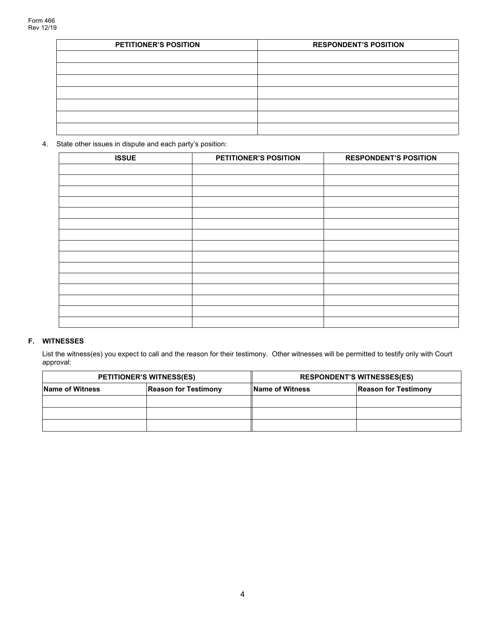| <b>PETITIONER'S POSITION</b> | <b>RESPONDENT'S POSITION</b> |
|------------------------------|------------------------------|
|                              |                              |
|                              |                              |
|                              |                              |
|                              |                              |
|                              |                              |
|                              |                              |
|                              |                              |

4. State other issues in dispute and each party's position:

| <b>ISSUE</b> | PETITIONER'S POSITION | <b>RESPONDENT'S POSITION</b> |
|--------------|-----------------------|------------------------------|
|              |                       |                              |
|              |                       |                              |
|              |                       |                              |
|              |                       |                              |
|              |                       |                              |
|              |                       |                              |
|              |                       |                              |
|              |                       |                              |
|              |                       |                              |
|              |                       |                              |
|              |                       |                              |
|              |                       |                              |
|              |                       |                              |
|              |                       |                              |
|              |                       |                              |

# **F. WITNESSES**

List the witness(es) you expect to call and the reason for their testimony. Other witnesses will be permitted to testify only with Court approval:

|                        | <b>PETITIONER'S WITNESS(ES)</b> | <b>RESPONDENT'S WITNESSES(ES)</b> |                             |
|------------------------|---------------------------------|-----------------------------------|-----------------------------|
| <b>Name of Witness</b> | <b>Reason for Testimony</b>     | <b>Name of Witness</b>            | <b>Reason for Testimony</b> |
|                        |                                 |                                   |                             |
|                        |                                 |                                   |                             |
|                        |                                 |                                   |                             |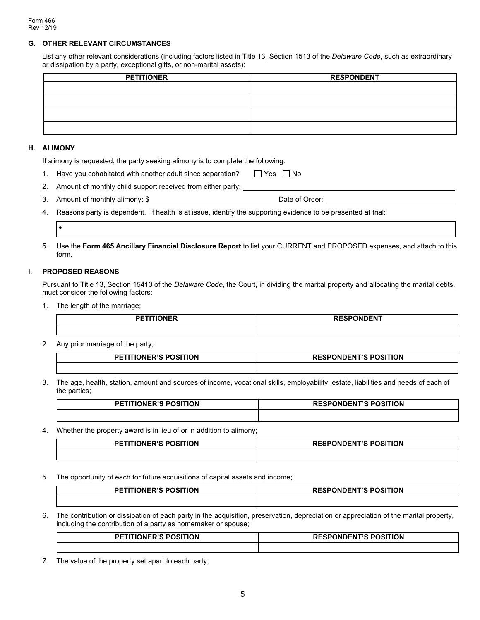#### **G. OTHER RELEVANT CIRCUMSTANCES**

List any other relevant considerations (including factors listed in Title 13, Section 1513 of the *Delaware Code*, such as extraordinary or dissipation by a party, exceptional gifts, or non-marital assets):

| <b>PETITIONER</b> | <b>RESPONDENT</b> |
|-------------------|-------------------|
|                   |                   |
|                   |                   |
|                   |                   |
|                   |                   |

#### **H. ALIMONY**

If alimony is requested, the party seeking alimony is to complete the following:

- 1. Have you cohabitated with another adult since separation?  $\Box$  Yes  $\Box$  No
- 2. Amount of monthly child support received from either party:
- 3. Amount of monthly alimony: \$
- 4. Reasons party is dependent. If health is at issue, identify the supporting evidence to be presented at trial:

## •

5. Use the **Form 465 Ancillary Financial Disclosure Report** to list your CURRENT and PROPOSED expenses, and attach to this form.

#### **I. PROPOSED REASONS**

Pursuant to Title 13, Section 15413 of the *Delaware Code*, the Court, in dividing the marital property and allocating the marital debts, must consider the following factors:

1. The length of the marriage;

| <b>DETITIONED</b><br><b>JNER</b> | <b>RESPONDENT</b> |
|----------------------------------|-------------------|
|                                  |                   |

2. Any prior marriage of the party;

| <b>TIONER'S POSITION</b> | <b>ESPONDENT'S POSITION</b> |
|--------------------------|-----------------------------|
| <b>DET</b>               | <b>RESPONDENT'S</b>         |
|                          |                             |

3. The age, health, station, amount and sources of income, vocational skills, employability, estate, liabilities and needs of each of the parties;

| <b>PETITIONER'S POSITION</b> | <b>RESPONDENT'S POSITION</b> |
|------------------------------|------------------------------|
|                              |                              |

4. Whether the property award is in lieu of or in addition to alimony;

| <b>TITIONER'S POSITION</b><br>PFTI` | <b>RESPONDENT'S POSITION</b> |
|-------------------------------------|------------------------------|
|                                     |                              |

5. The opportunity of each for future acquisitions of capital assets and income;

| <b>PETITIONER'S POSITION</b> | <b>RESPONDENT'S POSITION</b> |
|------------------------------|------------------------------|
|                              |                              |

6. The contribution or dissipation of each party in the acquisition, preservation, depreciation or appreciation of the marital property, including the contribution of a party as homemaker or spouse;

| ΓΙΟΝ             | ----      |
|------------------|-----------|
| <b>DIA DAAIT</b> | הוסחם סיד |
| <b>DL</b>        | ' ION     |
| INI              | . JN'     |
|                  |           |

7. The value of the property set apart to each party;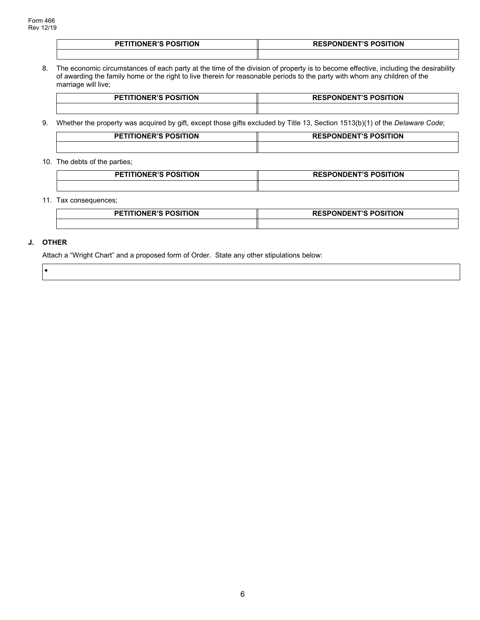| <b>PETITIONER'S POSITION</b> | <b>RESPONDENT'S POSITION</b> |  |
|------------------------------|------------------------------|--|
|                              |                              |  |

8. The economic circumstances of each party at the time of the division of property is to become effective, including the desirability of awarding the family home or the right to live therein for reasonable periods to the party with whom any children of the marriage will live;

| <b>PETITIONER'S POSITION</b> | <b>RESPONDENT'S POSITION</b> |
|------------------------------|------------------------------|
|                              |                              |

9. Whether the property was acquired by gift, except those gifts excluded by Title 13, Section 1513(b)(1) of the *Delaware Code*;

| <b>PETITIONER'S POSITION</b> | <b>RESPONDENT'S POSITION</b> |  |
|------------------------------|------------------------------|--|
|                              |                              |  |

#### 10. The debts of the parties;

| <b>PETITIONER'S POSITION</b> | <b>RESPONDENT'S POSITION</b> |
|------------------------------|------------------------------|
|                              |                              |

#### 11. Tax consequences;

| <b>PETITIONER'S POSITION</b> | <b>RESPONDENT'S POSITION</b> |  |
|------------------------------|------------------------------|--|
|                              |                              |  |

### **J. OTHER**

•

Attach a "Wright Chart" and a proposed form of Order. State any other stipulations below: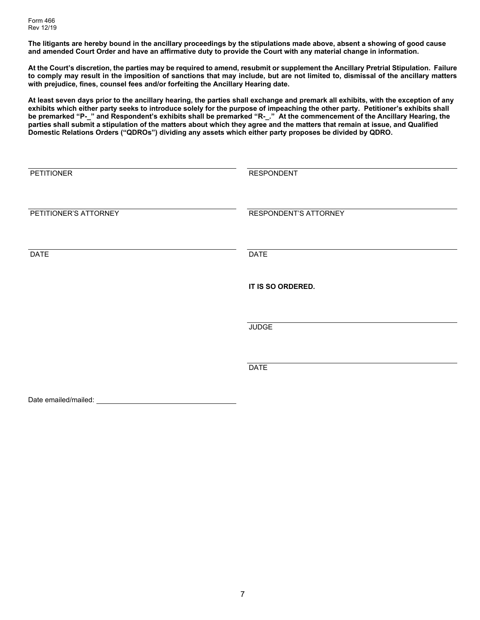**The litigants are hereby bound in the ancillary proceedings by the stipulations made above, absent a showing of good cause and amended Court Order and have an affirmative duty to provide the Court with any material change in information.**

**At the Court's discretion, the parties may be required to amend, resubmit or supplement the Ancillary Pretrial Stipulation. Failure to comply may result in the imposition of sanctions that may include, but are not limited to, dismissal of the ancillary matters with prejudice, fines, counsel fees and/or forfeiting the Ancillary Hearing date.** 

**At least seven days prior to the ancillary hearing, the parties shall exchange and premark all exhibits, with the exception of any exhibits which either party seeks to introduce solely for the purpose of impeaching the other party. Petitioner's exhibits shall be premarked "P-\_" and Respondent's exhibits shall be premarked "R-\_." At the commencement of the Ancillary Hearing, the parties shall submit a stipulation of the matters about which they agree and the matters that remain at issue, and Qualified Domestic Relations Orders ("QDROs") dividing any assets which either party proposes be divided by QDRO.**

| <b>PETITIONER</b>     | <b>RESPONDENT</b>     |
|-----------------------|-----------------------|
| PETITIONER'S ATTORNEY | RESPONDENT'S ATTORNEY |
| <b>DATE</b>           | <b>DATE</b>           |
|                       | IT IS SO ORDERED.     |
|                       | <b>JUDGE</b>          |
|                       | <b>DATE</b>           |
| Date emailed/mailed:  |                       |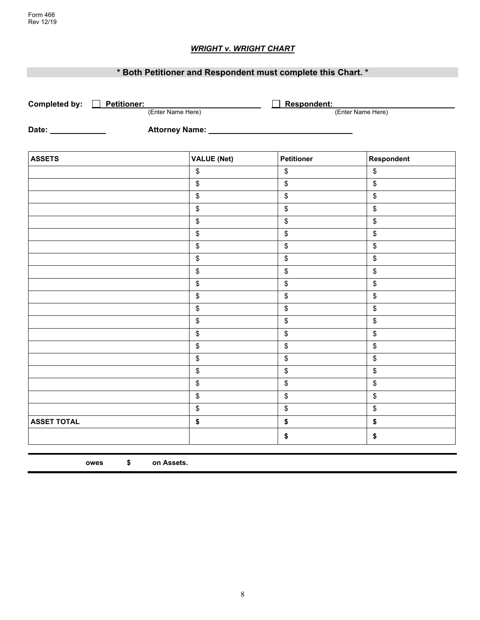# *WRIGHT v. WRIGHT CHART*

# **\* Both Petitioner and Respondent must complete this Chart. \***

| Completed by: <u>Detitioner:</u> |                            | Respondent:       |                   |
|----------------------------------|----------------------------|-------------------|-------------------|
| (Enter Name Here)                |                            |                   | (Enter Name Here) |
| Date: ______________             | Attorney Name: ___________ |                   |                   |
|                                  |                            |                   |                   |
| <b>ASSETS</b>                    | <b>VALUE (Net)</b>         | <b>Petitioner</b> | Respondent        |
|                                  | \$                         | $\,$              | \$                |
|                                  | \$                         | $\,$              | \$                |
|                                  | \$                         | $$\mathfrak{s}$$  | $$\mathfrak{s}$$  |
|                                  | \$                         | \$                | \$                |
|                                  | \$                         | $\,$              | \$                |
|                                  | \$                         | \$                | \$                |
|                                  | \$                         | $\,$              | \$                |
|                                  | \$                         | \$                | \$                |
|                                  | \$                         | $$\mathfrak{s}$$  | \$                |
|                                  | \$                         | $\,$              | \$                |
|                                  | \$                         | $\,$              | \$                |
|                                  | \$                         | $$\mathfrak{s}$$  | $$\mathfrak{s}$$  |
|                                  | \$                         | \$                | \$                |
|                                  | \$                         | $\,$              | \$                |
|                                  | \$                         | \$                | \$                |
|                                  | \$                         | \$                | \$                |
|                                  | \$                         | \$                | \$                |
|                                  | \$                         | \$                | \$                |
|                                  | \$                         | \$                | \$                |
|                                  | $\,$                       | $\,$              | \$                |
| <b>ASSET TOTAL</b>               | \$                         | \$                | \$                |
|                                  |                            | \$                | \$                |

**owes \$ on Assets.**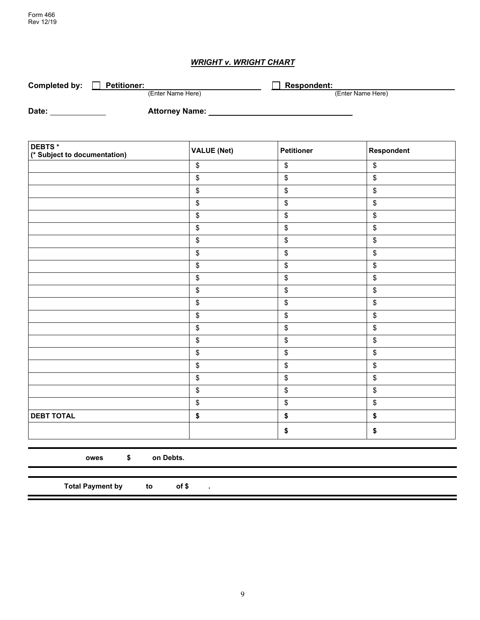# *WRIGHT v. WRIGHT CHART*

| Completed by: | <b>Petitioner:</b>    | <b>Respondent:</b> |
|---------------|-----------------------|--------------------|
|               | (Enter Name Here)     | (Enter Name Here)  |
| Date:         | <b>Attorney Name:</b> |                    |

| DEBTS*<br>(* Subject to documentation) | <b>VALUE (Net)</b> | <b>Petitioner</b> | Respondent        |
|----------------------------------------|--------------------|-------------------|-------------------|
|                                        | $\boldsymbol{\$}$  | \$                | $\boldsymbol{\$}$ |
|                                        | \$                 | \$                | \$                |
|                                        | \$                 | \$                | \$                |
|                                        | \$                 | \$                | \$                |
|                                        | \$                 | \$                | \$                |
|                                        | \$                 | \$                | \$                |
|                                        | \$                 | \$                | \$                |
|                                        | \$                 | \$                | \$                |
|                                        | \$                 | \$                | \$                |
|                                        | $\boldsymbol{\$}$  | \$                | \$                |
|                                        | \$                 | \$                | \$                |
|                                        | \$                 | $\,$              | \$                |
|                                        | \$                 | \$                | \$                |
|                                        | \$                 | \$                | \$                |
|                                        | \$                 | \$                | \$                |
|                                        | \$                 | \$                | \$                |
|                                        | \$                 | \$                | \$                |
|                                        | \$                 | \$                | \$                |
|                                        | \$                 | \$                | \$                |
|                                        | \$                 | \$                | \$                |
| <b>DEBT TOTAL</b>                      | \$                 | \$                | \$                |
|                                        |                    | \$                | \$                |

**owes \$ on Debts.**

**Total Payment by to of \$ .**